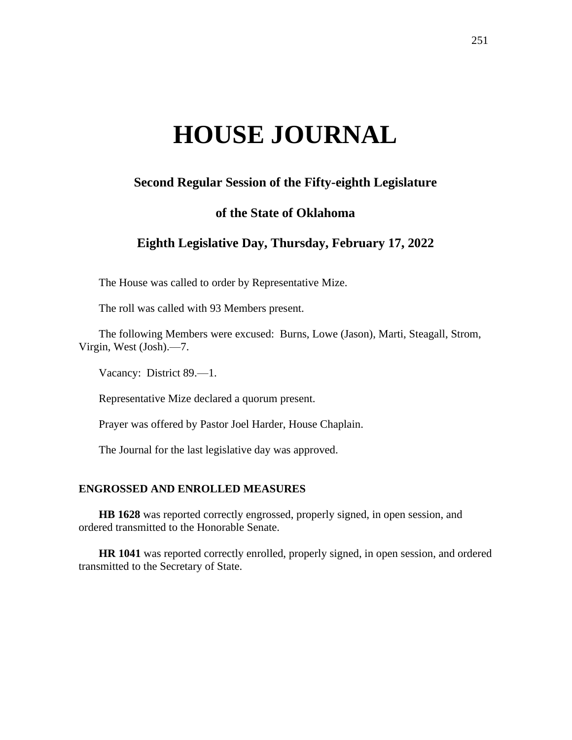# **HOUSE JOURNAL**

# **Second Regular Session of the Fifty-eighth Legislature**

## **of the State of Oklahoma**

# **Eighth Legislative Day, Thursday, February 17, 2022**

The House was called to order by Representative Mize.

The roll was called with 93 Members present.

The following Members were excused: Burns, Lowe (Jason), Marti, Steagall, Strom, Virgin, West (Josh).—7.

Vacancy: District 89.—1.

Representative Mize declared a quorum present.

Prayer was offered by Pastor Joel Harder, House Chaplain.

The Journal for the last legislative day was approved.

## **ENGROSSED AND ENROLLED MEASURES**

**HB 1628** was reported correctly engrossed, properly signed, in open session, and ordered transmitted to the Honorable Senate.

**HR 1041** was reported correctly enrolled, properly signed, in open session, and ordered transmitted to the Secretary of State.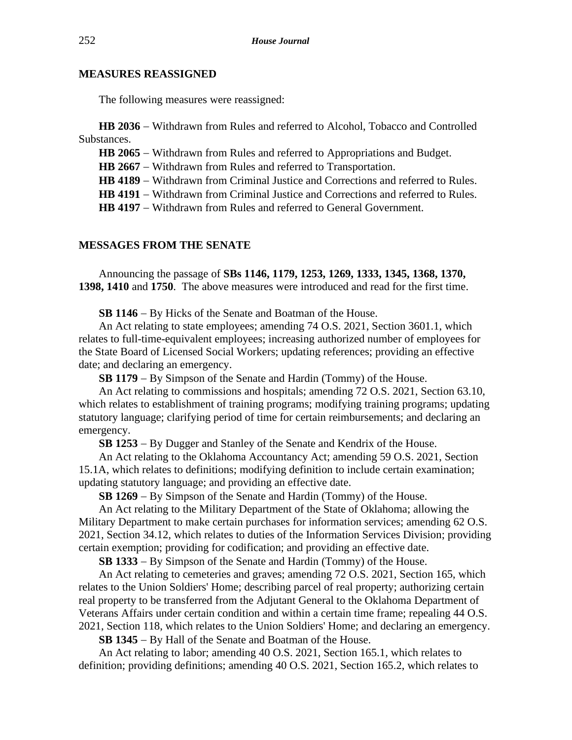#### **MEASURES REASSIGNED**

The following measures were reassigned:

**HB 2036** − Withdrawn from Rules and referred to Alcohol, Tobacco and Controlled Substances.

HB 2065 − Withdrawn from Rules and referred to Appropriations and Budget.

**HB 2667** − Withdrawn from Rules and referred to Transportation.

**HB 4189** − Withdrawn from Criminal Justice and Corrections and referred to Rules.

**HB 4191** − Withdrawn from Criminal Justice and Corrections and referred to Rules.

**HB 4197** − Withdrawn from Rules and referred to General Government.

#### **MESSAGES FROM THE SENATE**

Announcing the passage of **SBs 1146, 1179, 1253, 1269, 1333, 1345, 1368, 1370, 1398, 1410** and **1750**. The above measures were introduced and read for the first time.

**SB 1146** − By Hicks of the Senate and Boatman of the House.

An Act relating to state employees; amending 74 O.S. 2021, Section 3601.1, which relates to full-time-equivalent employees; increasing authorized number of employees for the State Board of Licensed Social Workers; updating references; providing an effective date; and declaring an emergency.

**SB 1179** − By Simpson of the Senate and Hardin (Tommy) of the House.

An Act relating to commissions and hospitals; amending 72 O.S. 2021, Section 63.10, which relates to establishment of training programs; modifying training programs; updating statutory language; clarifying period of time for certain reimbursements; and declaring an emergency.

**SB 1253** − By Dugger and Stanley of the Senate and Kendrix of the House.

An Act relating to the Oklahoma Accountancy Act; amending 59 O.S. 2021, Section 15.1A, which relates to definitions; modifying definition to include certain examination; updating statutory language; and providing an effective date.

**SB 1269** − By Simpson of the Senate and Hardin (Tommy) of the House.

An Act relating to the Military Department of the State of Oklahoma; allowing the Military Department to make certain purchases for information services; amending 62 O.S. 2021, Section 34.12, which relates to duties of the Information Services Division; providing certain exemption; providing for codification; and providing an effective date.

**SB 1333** − By Simpson of the Senate and Hardin (Tommy) of the House.

An Act relating to cemeteries and graves; amending 72 O.S. 2021, Section 165, which relates to the Union Soldiers' Home; describing parcel of real property; authorizing certain real property to be transferred from the Adjutant General to the Oklahoma Department of Veterans Affairs under certain condition and within a certain time frame; repealing 44 O.S. 2021, Section 118, which relates to the Union Soldiers' Home; and declaring an emergency.

**SB 1345** − By Hall of the Senate and Boatman of the House.

An Act relating to labor; amending 40 O.S. 2021, Section 165.1, which relates to definition; providing definitions; amending 40 O.S. 2021, Section 165.2, which relates to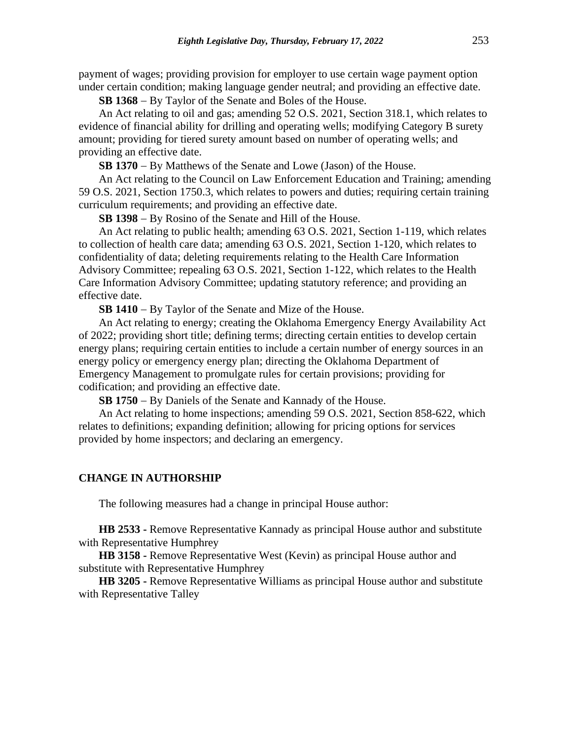payment of wages; providing provision for employer to use certain wage payment option under certain condition; making language gender neutral; and providing an effective date.

**SB 1368** − By Taylor of the Senate and Boles of the House.

An Act relating to oil and gas; amending 52 O.S. 2021, Section 318.1, which relates to evidence of financial ability for drilling and operating wells; modifying Category B surety amount; providing for tiered surety amount based on number of operating wells; and providing an effective date.

**SB 1370** − By Matthews of the Senate and Lowe (Jason) of the House.

An Act relating to the Council on Law Enforcement Education and Training; amending 59 O.S. 2021, Section 1750.3, which relates to powers and duties; requiring certain training curriculum requirements; and providing an effective date.

**SB 1398** − By Rosino of the Senate and Hill of the House.

An Act relating to public health; amending 63 O.S. 2021, Section 1-119, which relates to collection of health care data; amending 63 O.S. 2021, Section 1-120, which relates to confidentiality of data; deleting requirements relating to the Health Care Information Advisory Committee; repealing 63 O.S. 2021, Section 1-122, which relates to the Health Care Information Advisory Committee; updating statutory reference; and providing an effective date.

**SB 1410** − By Taylor of the Senate and Mize of the House.

An Act relating to energy; creating the Oklahoma Emergency Energy Availability Act of 2022; providing short title; defining terms; directing certain entities to develop certain energy plans; requiring certain entities to include a certain number of energy sources in an energy policy or emergency energy plan; directing the Oklahoma Department of Emergency Management to promulgate rules for certain provisions; providing for codification; and providing an effective date.

**SB 1750** − By Daniels of the Senate and Kannady of the House.

An Act relating to home inspections; amending 59 O.S. 2021, Section 858-622, which relates to definitions; expanding definition; allowing for pricing options for services provided by home inspectors; and declaring an emergency.

## **CHANGE IN AUTHORSHIP**

The following measures had a change in principal House author:

**HB 2533 -** Remove Representative Kannady as principal House author and substitute with Representative Humphrey

**HB 3158 -** Remove Representative West (Kevin) as principal House author and substitute with Representative Humphrey

**HB 3205 -** Remove Representative Williams as principal House author and substitute with Representative Talley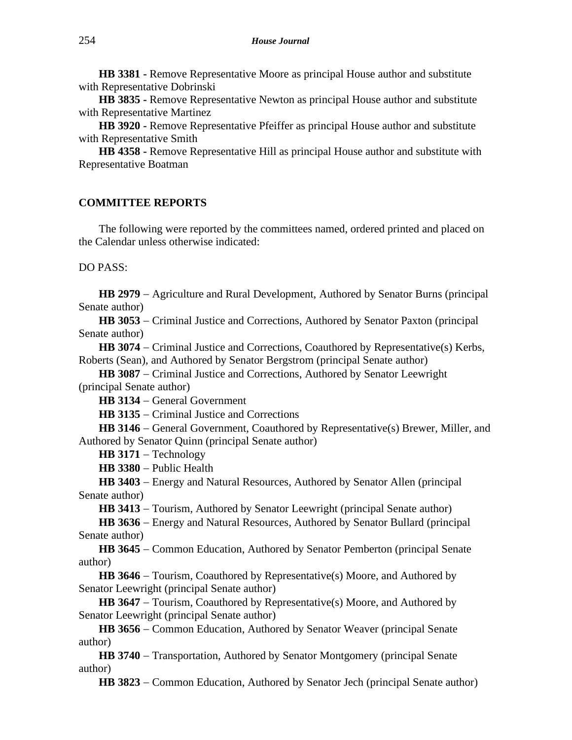**HB 3381 -** Remove Representative Moore as principal House author and substitute with Representative Dobrinski

**HB 3835 -** Remove Representative Newton as principal House author and substitute with Representative Martinez

**HB 3920 -** Remove Representative Pfeiffer as principal House author and substitute with Representative Smith

**HB 4358 -** Remove Representative Hill as principal House author and substitute with Representative Boatman

#### **COMMITTEE REPORTS**

The following were reported by the committees named, ordered printed and placed on the Calendar unless otherwise indicated:

DO PASS:

**HB 2979** − Agriculture and Rural Development, Authored by Senator Burns (principal Senate author)

**HB 3053** − Criminal Justice and Corrections, Authored by Senator Paxton (principal Senate author)

**HB 3074** − Criminal Justice and Corrections, Coauthored by Representative(s) Kerbs, Roberts (Sean), and Authored by Senator Bergstrom (principal Senate author)

**HB 3087** − Criminal Justice and Corrections, Authored by Senator Leewright (principal Senate author)

**HB 3134** − General Government

**HB 3135** − Criminal Justice and Corrections

**HB 3146** − General Government, Coauthored by Representative(s) Brewer, Miller, and Authored by Senator Quinn (principal Senate author)

**HB 3171** − Technology

**HB 3380** − Public Health

**HB 3403** − Energy and Natural Resources, Authored by Senator Allen (principal Senate author)

**HB 3413** − Tourism, Authored by Senator Leewright (principal Senate author)

**HB 3636** − Energy and Natural Resources, Authored by Senator Bullard (principal Senate author)

**HB 3645** − Common Education, Authored by Senator Pemberton (principal Senate author)

**HB 3646** − Tourism, Coauthored by Representative(s) Moore, and Authored by Senator Leewright (principal Senate author)

HB 3647 – Tourism, Coauthored by Representative(s) Moore, and Authored by Senator Leewright (principal Senate author)

**HB 3656** − Common Education, Authored by Senator Weaver (principal Senate author)

**HB 3740** − Transportation, Authored by Senator Montgomery (principal Senate author)

**HB 3823** − Common Education, Authored by Senator Jech (principal Senate author)